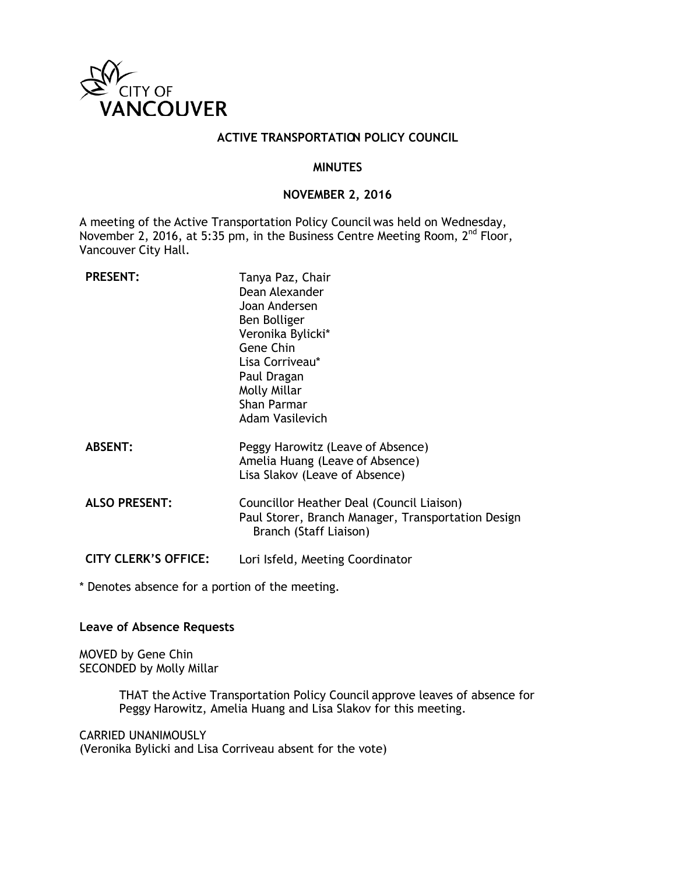

### **ACTIVE TRANSPORTATION POLICY COUNCIL**

#### **MINUTES**

### **NOVEMBER 2, 2016**

A meeting of the Active Transportation Policy Council was held on Wednesday, November 2, 2016, at 5:35 pm, in the Business Centre Meeting Room, 2<sup>nd</sup> Floor, Vancouver City Hall.

| <b>PRESENT:</b>             | Tanya Paz, Chair<br>Dean Alexander<br>Joan Andersen<br>Ben Bolliger<br>Veronika Bylicki*<br>Gene Chin<br>Lisa Corriveau*<br>Paul Dragan<br>Molly Millar<br>Shan Parmar<br><b>Adam Vasilevich</b> |
|-----------------------------|--------------------------------------------------------------------------------------------------------------------------------------------------------------------------------------------------|
| <b>ABSENT:</b>              | Peggy Harowitz (Leave of Absence)<br>Amelia Huang (Leave of Absence)<br>Lisa Slakov (Leave of Absence)                                                                                           |
| <b>ALSO PRESENT:</b>        | Councillor Heather Deal (Council Liaison)<br>Paul Storer, Branch Manager, Transportation Design<br>Branch (Staff Liaison)                                                                        |
| <b>CITY CLERK'S OFFICE:</b> | Lori Isfeld, Meeting Coordinator                                                                                                                                                                 |

\* Denotes absence for a portion of the meeting.

**Leave of Absence Requests**

MOVED by Gene Chin SECONDED by Molly Millar

> THAT the Active Transportation Policy Council approve leaves of absence for Peggy Harowitz, Amelia Huang and Lisa Slakov for this meeting.

CARRIED UNANIMOUSLY (Veronika Bylicki and Lisa Corriveau absent for the vote)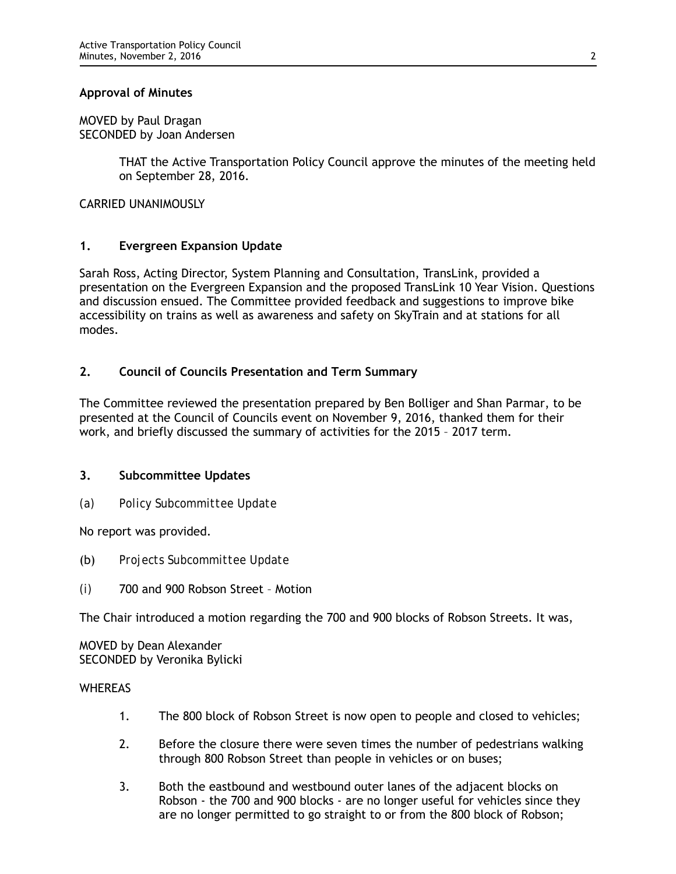### **Approval of Minutes**

MOVED by Paul Dragan SECONDED by Joan Andersen

> THAT the Active Transportation Policy Council approve the minutes of the meeting held on September 28, 2016.

CARRIED UNANIMOUSLY

## **1. Evergreen Expansion Update**

Sarah Ross, Acting Director, System Planning and Consultation, TransLink, provided a presentation on the Evergreen Expansion and the proposed TransLink 10 Year Vision. Questions and discussion ensued. The Committee provided feedback and suggestions to improve bike accessibility on trains as well as awareness and safety on SkyTrain and at stations for all modes.

## **2. Council of Councils Presentation and Term Summary**

The Committee reviewed the presentation prepared by Ben Bolliger and Shan Parmar, to be presented at the Council of Councils event on November 9, 2016, thanked them for their work, and briefly discussed the summary of activities for the 2015 – 2017 term.

## **3. Subcommittee Updates**

*(a) Policy Subcommittee Update*

No report was provided.

- (b) *Projects Subcommittee Update*
- *(i)* 700 and 900 Robson Street Motion

The Chair introduced a motion regarding the 700 and 900 blocks of Robson Streets. It was,

MOVED by Dean Alexander SECONDED by Veronika Bylicki

#### **WHEREAS**

- 1. The 800 block of Robson Street is now open to people and closed to vehicles;
- 2. Before the closure there were seven times the number of pedestrians walking through 800 Robson Street than people in vehicles or on buses;
- 3. Both the eastbound and westbound outer lanes of the adjacent blocks on Robson - the 700 and 900 blocks - are no longer useful for vehicles since they are no longer permitted to go straight to or from the 800 block of Robson;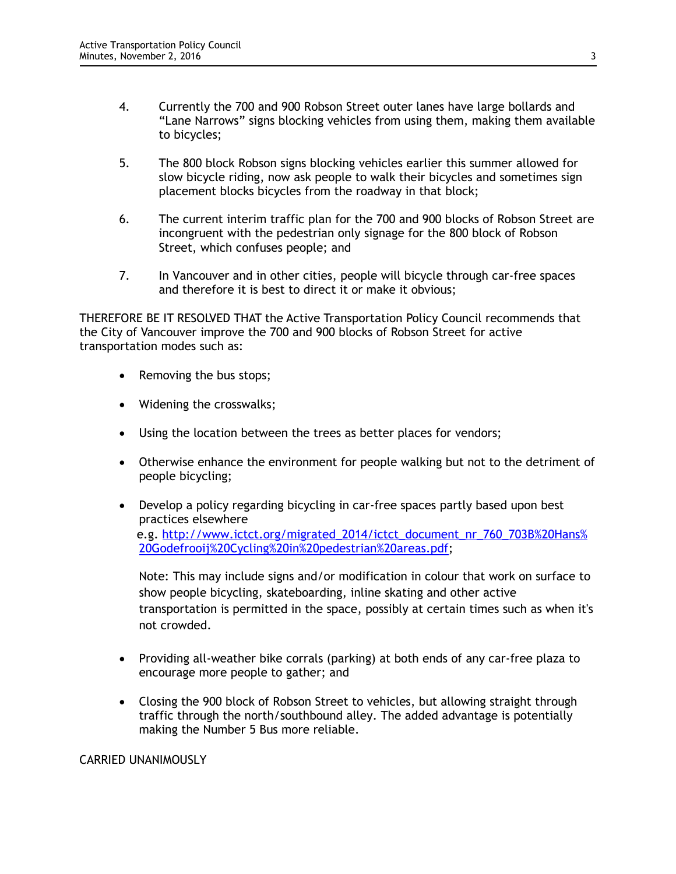- 4. Currently the 700 and 900 Robson Street outer lanes have large bollards and "Lane Narrows" signs blocking vehicles from using them, making them available to bicycles;
- 5. The 800 block Robson signs blocking vehicles earlier this summer allowed for slow bicycle riding, now ask people to walk their bicycles and sometimes sign placement blocks bicycles from the roadway in that block;
- 6. The current interim traffic plan for the 700 and 900 blocks of Robson Street are incongruent with the pedestrian only signage for the 800 block of Robson Street, which confuses people; and
- 7. In Vancouver and in other cities, people will bicycle through car-free spaces and therefore it is best to direct it or make it obvious;

THEREFORE BE IT RESOLVED THAT the Active Transportation Policy Council recommends that the City of Vancouver improve the 700 and 900 blocks of Robson Street for active transportation modes such as:

- Removing the bus stops;
- Widening the crosswalks;
- Using the location between the trees as better places for vendors;
- Otherwise enhance the environment for people walking but not to the detriment of people bicycling;
- Develop a policy regarding bicycling in car-free spaces partly based upon best practices elsewhere e.g. [http://www.ictct.org/migrated\\_2014/ictct\\_document\\_nr\\_760\\_703B%20Hans%](http://www.ictct.org/migrated_2014/ictct_document_nr_760_703B%20Hans%20Godefrooij%20Cycling%20in%20pedestrian%20areas.pdf) [20Godefrooij%20Cycling%20in%20pedestrian%20areas.pdf;](http://www.ictct.org/migrated_2014/ictct_document_nr_760_703B%20Hans%20Godefrooij%20Cycling%20in%20pedestrian%20areas.pdf)

Note: This may include signs and/or modification in colour that work on surface to show people bicycling, skateboarding, inline skating and other active transportation is permitted in the space, possibly at certain times such as when it's not crowded.

- Providing all-weather bike corrals (parking) at both ends of any car-free plaza to encourage more people to gather; and
- Closing the 900 block of Robson Street to vehicles, but allowing straight through traffic through the north/southbound alley. The added advantage is potentially making the Number 5 Bus more reliable.

CARRIED UNANIMOUSLY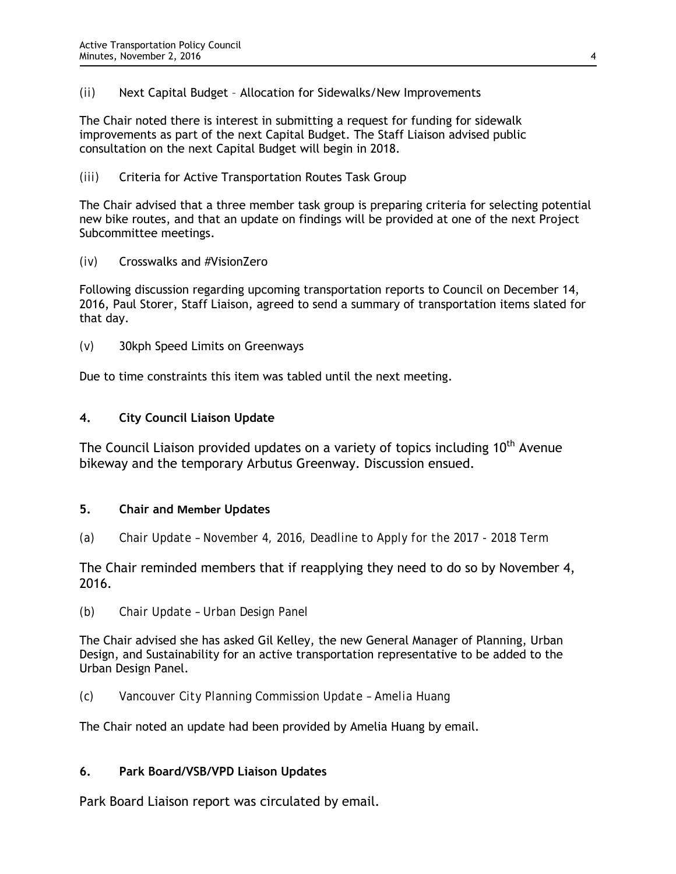*(ii)* Next Capital Budget – Allocation for Sidewalks/New Improvements

The Chair noted there is interest in submitting a request for funding for sidewalk improvements as part of the next Capital Budget. The Staff Liaison advised public consultation on the next Capital Budget will begin in 2018.

*(iii)* Criteria for Active Transportation Routes Task Group

The Chair advised that a three member task group is preparing criteria for selecting potential new bike routes, and that an update on findings will be provided at one of the next Project Subcommittee meetings.

*(iv)* Crosswalks and #VisionZero

Following discussion regarding upcoming transportation reports to Council on December 14, 2016, Paul Storer, Staff Liaison, agreed to send a summary of transportation items slated for that day.

*(v)* 30kph Speed Limits on Greenways

Due to time constraints this item was tabled until the next meeting.

## **4. City Council Liaison Update**

The Council Liaison provided updates on a variety of topics including  $10<sup>th</sup>$  Avenue bikeway and the temporary Arbutus Greenway. Discussion ensued.

## **5. Chair and Member Updates**

*(a) Chair Update – November 4, 2016, Deadline to Apply for the 2017 - 2018 Term*

The Chair reminded members that if reapplying they need to do so by November 4, 2016.

*(b) Chair Update – Urban Design Panel*

The Chair advised she has asked Gil Kelley, the new General Manager of Planning, Urban Design, and Sustainability for an active transportation representative to be added to the Urban Design Panel.

*(c) Vancouver City Planning Commission Update – Amelia Huang*

The Chair noted an update had been provided by Amelia Huang by email.

## **6. Park Board/VSB/VPD Liaison Updates**

Park Board Liaison report was circulated by email.